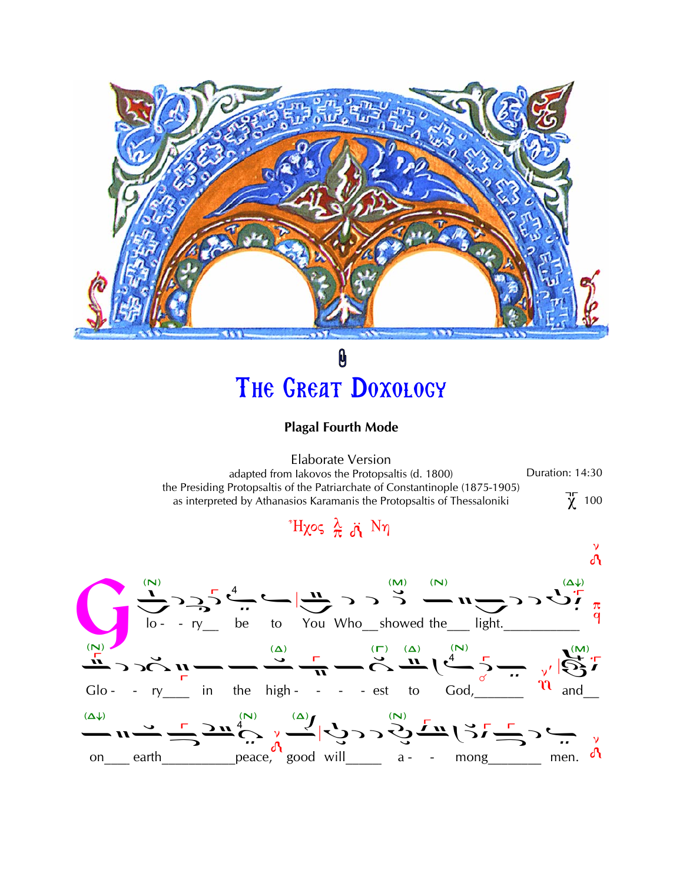

## 0 THE GREAT DOXOLOGY

## **Plagal Fourth Mode**

**Elaborate Version** Duration: 14:30 adapted from lakovos the Protopsaltis (d. 1800) the Presiding Protopsaltis of the Patriarchate of Constantinople (1875-1905)  $\chi$  100 as interpreted by Athanasios Karamanis the Protopsaltis of Thessaloniki

## $H\chi$ ος λ λ Νη

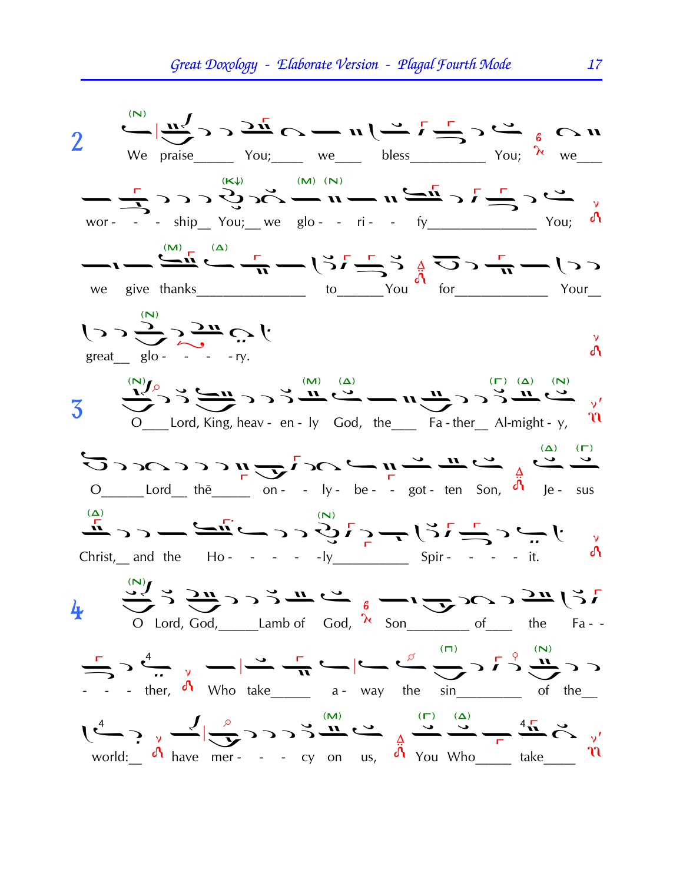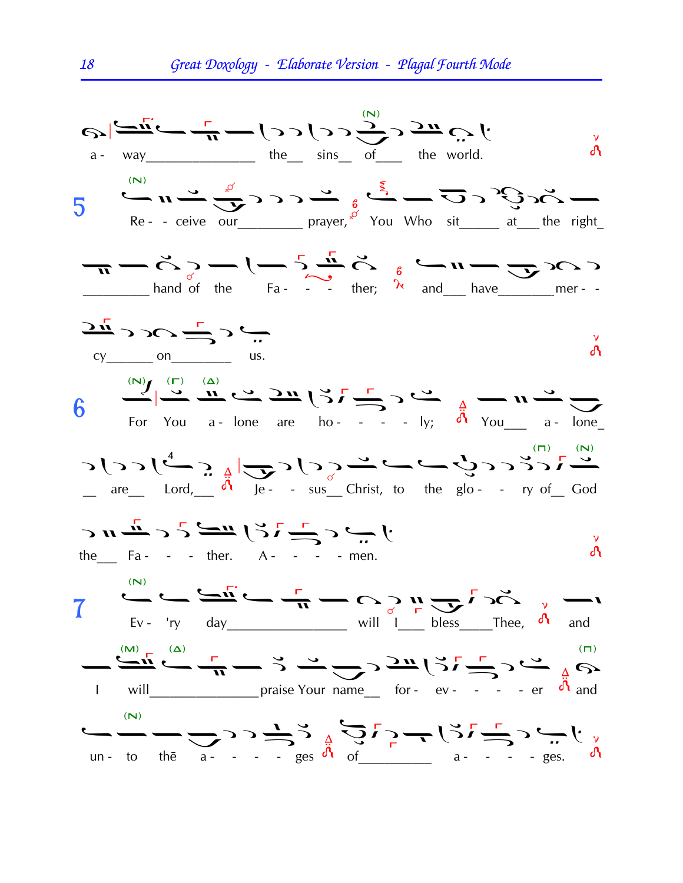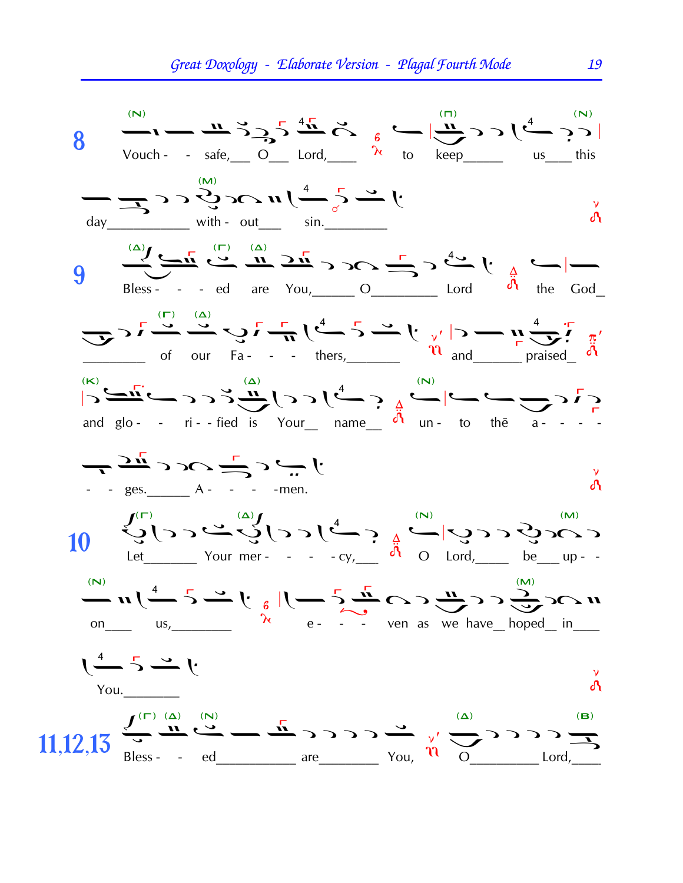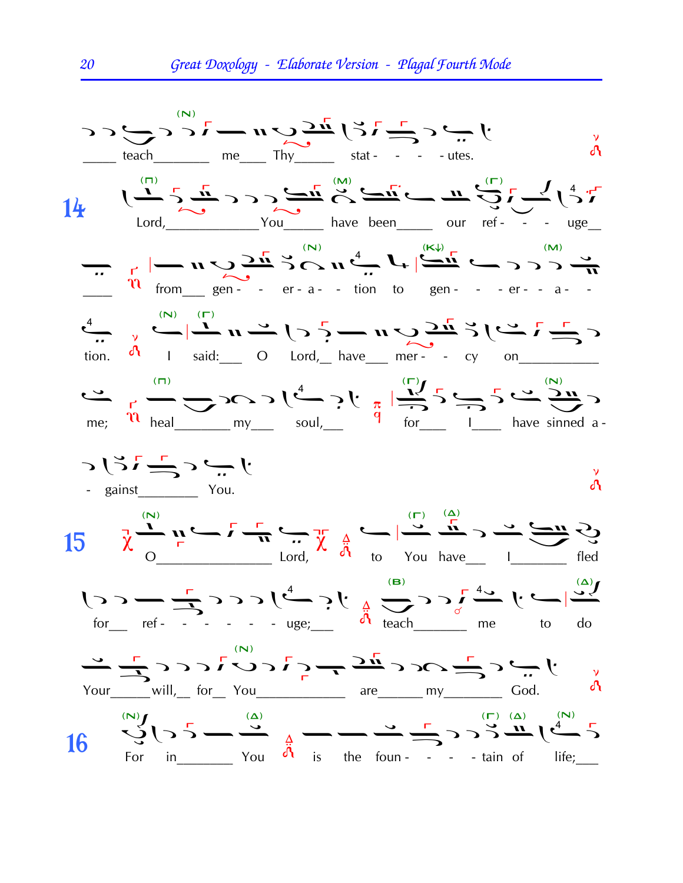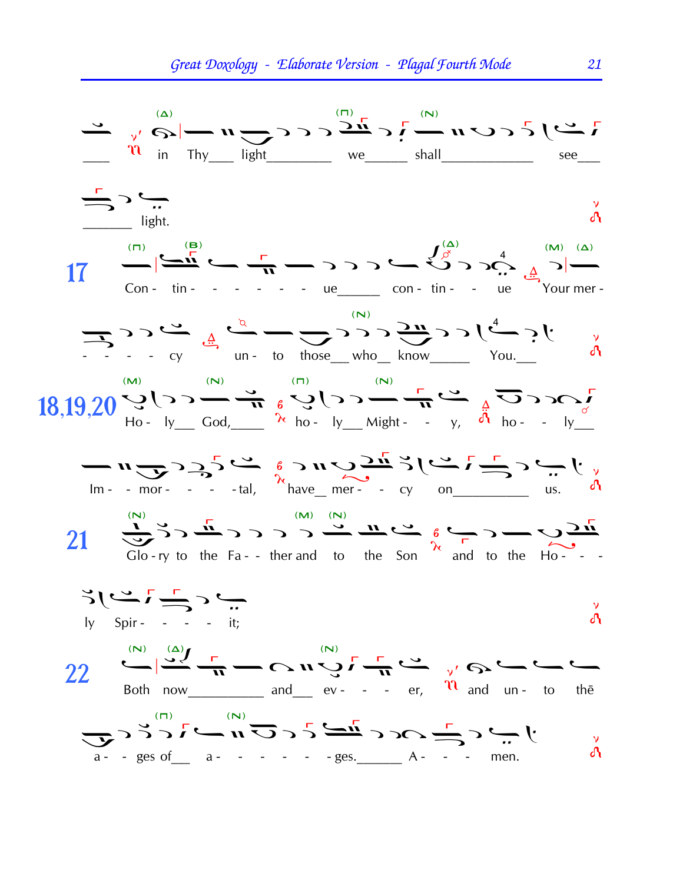